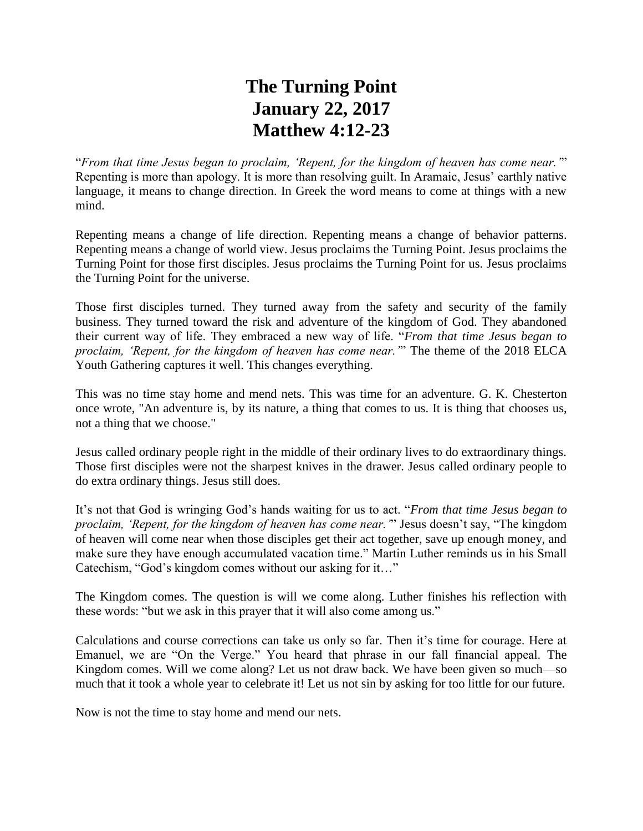## **The Turning Point January 22, 2017 Matthew 4:12-23**

"*From that time Jesus began to proclaim, 'Repent, for the kingdom of heaven has come near.'*" Repenting is more than apology. It is more than resolving guilt. In Aramaic, Jesus' earthly native language, it means to change direction. In Greek the word means to come at things with a new mind.

Repenting means a change of life direction. Repenting means a change of behavior patterns. Repenting means a change of world view. Jesus proclaims the Turning Point. Jesus proclaims the Turning Point for those first disciples. Jesus proclaims the Turning Point for us. Jesus proclaims the Turning Point for the universe.

Those first disciples turned. They turned away from the safety and security of the family business. They turned toward the risk and adventure of the kingdom of God. They abandoned their current way of life. They embraced a new way of life. "*From that time Jesus began to proclaim, 'Repent, for the kingdom of heaven has come near.'*" The theme of the 2018 ELCA Youth Gathering captures it well. This changes everything.

This was no time stay home and mend nets. This was time for an adventure. G. K. Chesterton once wrote, "An adventure is, by its nature, a thing that comes to us. It is thing that chooses us, not a thing that we choose."

Jesus called ordinary people right in the middle of their ordinary lives to do extraordinary things. Those first disciples were not the sharpest knives in the drawer. Jesus called ordinary people to do extra ordinary things. Jesus still does.

It's not that God is wringing God's hands waiting for us to act. "*From that time Jesus began to proclaim, 'Repent, for the kingdom of heaven has come near.'*" Jesus doesn't say, "The kingdom of heaven will come near when those disciples get their act together, save up enough money, and make sure they have enough accumulated vacation time." Martin Luther reminds us in his Small Catechism, "God's kingdom comes without our asking for it…"

The Kingdom comes. The question is will we come along. Luther finishes his reflection with these words: "but we ask in this prayer that it will also come among us."

Calculations and course corrections can take us only so far. Then it's time for courage. Here at Emanuel, we are "On the Verge." You heard that phrase in our fall financial appeal. The Kingdom comes. Will we come along? Let us not draw back. We have been given so much—so much that it took a whole year to celebrate it! Let us not sin by asking for too little for our future.

Now is not the time to stay home and mend our nets.